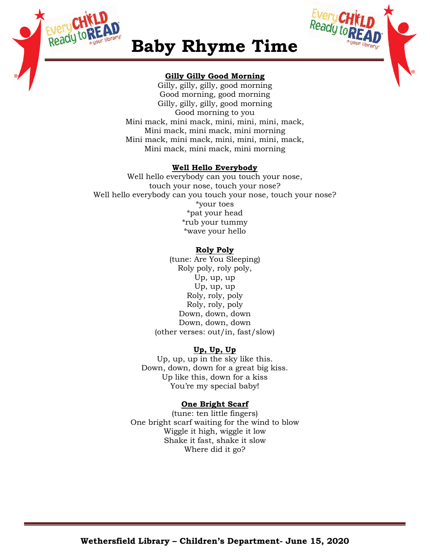



## **Baby Rhyme Time**

## **Gilly Gilly Good Morning**

Gilly, gilly, gilly, good morning Good morning, good morning Gilly, gilly, gilly, good morning Good morning to you Mini mack, mini mack, mini, mini, mini, mack, Mini mack, mini mack, mini morning Mini mack, mini mack, mini, mini, mini, mack, Mini mack, mini mack, mini morning

## **Well Hello Everybody**

Well hello everybody can you touch your nose, touch your nose, touch your nose? Well hello everybody can you touch your nose, touch your nose? \*your toes \*pat your head \*rub your tummy \*wave your hello

## **Roly Poly**

(tune: Are You Sleeping) Roly poly, roly poly, Up, up, up Up, up, up Roly, roly, poly Roly, roly, poly Down, down, down Down, down, down (other verses: out/in, fast/slow)

## **Up, Up, Up**

Up, up, up in the sky like this. Down, down, down for a great big kiss. Up like this, down for a kiss You're my special baby!

## **One Bright Scarf**

(tune: ten little fingers) One bright scarf waiting for the wind to blow Wiggle it high, wiggle it low Shake it fast, shake it slow Where did it go?